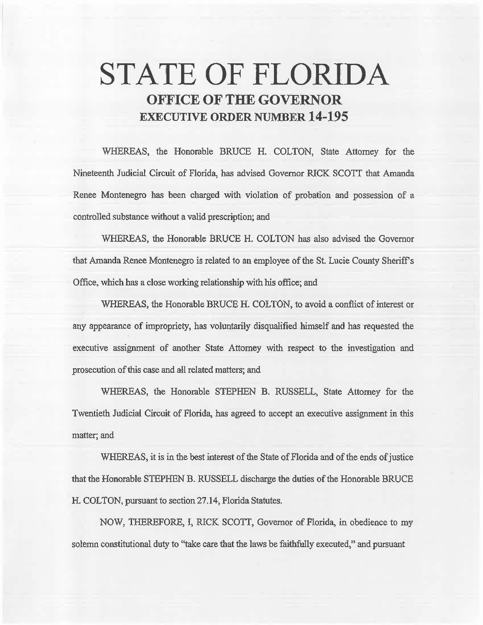# **STATE OF FLORIDA OFFICE OF THE GOVERNOR EXECUTIVE ORDER NUMBER 14-195**

WHEREAS, the Honorable BRUCE H. COLTON, State Attorney for the Nineteenth Judicial Circuit of Florida, has advised Governor RICK SCOTT that Amanda Renee Montenegro has been charged with violation of probation and possession of a controlled substance without a valid prescription; and

WHEREAS, the Honorable BRUCE H. COLTON has also advised the Governor that Amanda Renee Montenegro is related to an employee of the St. Lucie County Sheriff's Office, which has a close working relationship with his office; and

WHEREAS, the Honorable BRUCE H. COLTON, to avoid a conflict of interest or any appearance of impropriety, has voluntarily disqualified himself and has requested the executive assignment of another State Attorney with respect to the investigation and prosecution of this case and all related matters; and

WHEREAS, the Honorable STEPHEN B. RUSSELL, State Attorney for the Twentieth Judicial Circuit of Florida, has agreed to accept an executive assignment in this matter; and

WHEREAS, it is in the best interest of the State of Florida and of the ends of justice that the Honorable STEPHEN B. RUSSELL discharge the duties of the Honorable BRUCE H. COLTON, pursuant to section 27 .14, Florida Statutes.

NOW, THEREFORE, I, RICK SCOTT, Governor of Florida, in obedience to my solemn constitutional duty to "take care that the laws be faithfully executed,'' and pursuant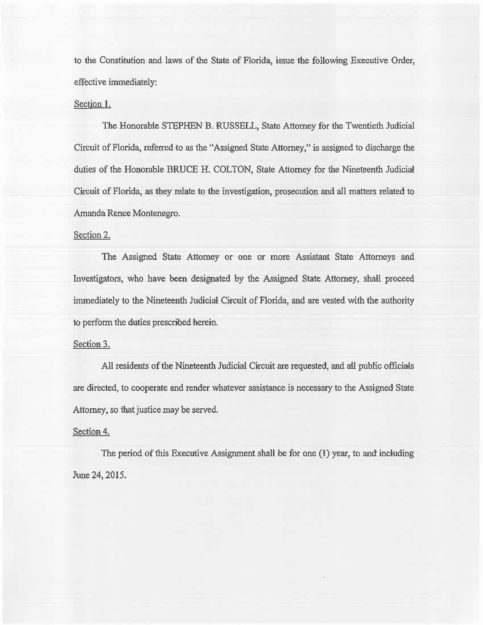to the Constitution and laws of the State of Florida, issue the following Executive Order, effective immediately:

#### Section 1.

The Honorable STEPHEN B. RUSSELL, State Attorney for the Twentieth Judicial Circuit of Florida, referred to as the "Assigned State Attorney," is assigned to discharge the duties of the Honorable BRUCE H. COLTON, State Attorney for the Nineteenth Judicial Circuit of Florida, as they relate to the investigation, prosecution and all matters related to Amanda Renee Montenegro.

### Section 2.

The Assigned State Attorney or one or more Assistant State Attorneys and Investigators, who have been designated by the Assigned State Attorney, shall proceed immediately to the Nineteenth Judicial Circuit of Florida, and are vested with the authority to perform the duties prescribed herein.

## Section 3.

All residents of the Nineteenth Judicial Circuit are requested, and all public officials are directed, to cooperate and render whatever assistance is necessary to the Assigned State Attorney, so that justice may be served.

#### Section 4.

The period of this Executive Assignment shall be for one  $(1)$  year, to and including June 24, 2015.